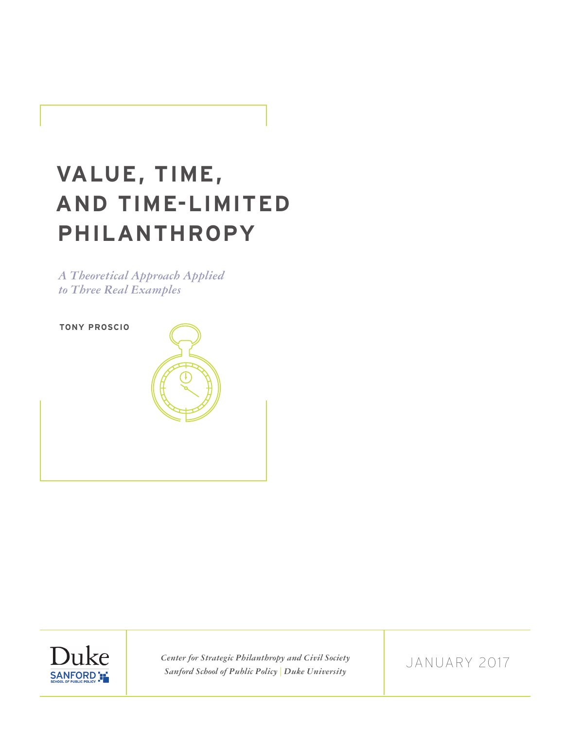# **VALUE, TIME, AND TIME-LIMITED PHILANTHROPY**

*A Theoretical Approach Applied to Three Real Examples*





*Center for Strategic Philanthropy and Civil Society Sanford School of Public Policy | Duke University*

JANUARY 2017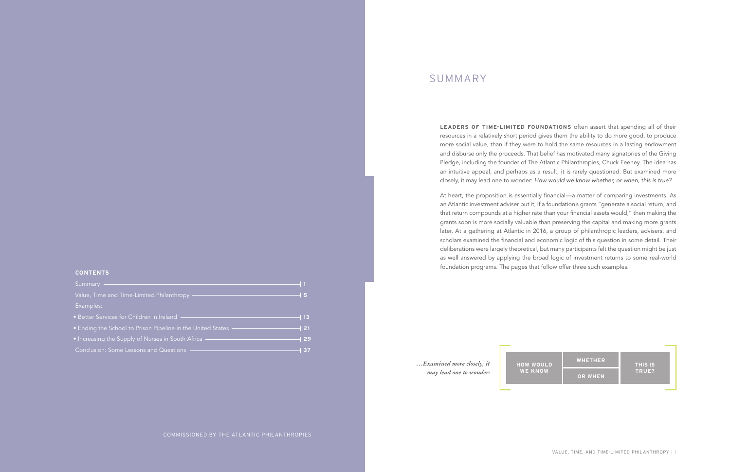## SUMMARY

**LEADERS OF TIME-LIMITED FOUNDATIONS** often assert that spending all of their resources in a relatively short period gives them the ability to do more good, to produce more social value, than if they were to hold the same resources in a lasting endowment and disburse only the proceeds. That belief has motivated many signatories of the Giving Pledge, including the founder of The Atlantic Philanthropies, Chuck Feeney. The idea has an intuitive appeal, and perhaps as a result, it is rarely questioned. But examined more closely, it may lead one to wonder: *How would we know whether, or when, this is true?*

At heart, the proposition is essentially financial—a matter of comparing investments. As an Atlantic investment adviser put it, if a foundation's grants "generate a social return, and that return compounds at a higher rate than your financial assets would," then making the grants soon is more socially valuable than preserving the capital and making more grants later. At a gathering at Atlantic in 2016, a group of philanthropic leaders, advisers, and scholars examined the financial and economic logic of this question in some detail. Their deliberations were largely theoretical, but many participants felt the question might be just as well answered by applying the broad logic of investment returns to some real-world foundation programs. The pages that follow offer three such examples.

> **HOW WOULD WE KNOW**



*…Examined more closely, it may lead one to wonder:*

## **CONTENTS**

| Summary                                                       | - 1   |
|---------------------------------------------------------------|-------|
| Value, Time and Time-Limited Philanthropy -                   | - 5   |
| Examples:                                                     |       |
| • Better Services for Children in Ireland -                   | ∣ 13  |
| • Ending the School to Prison Pipeline in the United States - | ┤ 21  |
| • Increasing the Supply of Nurses in South Africa             | $+29$ |
| Conclusion: Some Lessons and Questions -                      | 37    |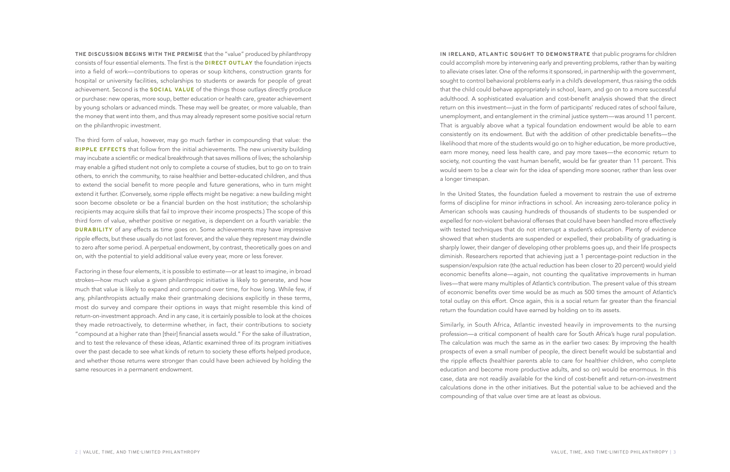**THE DISCUSSION BEGINS WITH THE PREMISE** that the "value" produced by philanthropy consists of four essential elements. The first is the **DIRECT OUTLAY** the foundation injects into a field of work—contributions to operas or soup kitchens, construction grants for hospital or university facilities, scholarships to students or awards for people of great achievement. Second is the **SOCIAL VALUE** of the things those outlays directly produce or purchase: new operas, more soup, better education or health care, greater achievement by young scholars or advanced minds. These may well be greater, or more valuable, than the money that went into them, and thus may already represent some positive social return on the philanthropic investment.

The third form of value, however, may go much farther in compounding that value: the **RIPPLE EFFECTS** that follow from the initial achievements. The new university building may incubate a scientific or medical breakthrough that saves millions of lives; the scholarship may enable a gifted student not only to complete a course of studies, but to go on to train others, to enrich the community, to raise healthier and better-educated children, and thus to extend the social benefit to more people and future generations, who in turn might extend it further. (Conversely, some ripple effects might be negative: a new building might soon become obsolete or be a financial burden on the host institution; the scholarship recipients may acquire skills that fail to improve their income prospects.) The scope of this third form of value, whether positive or negative, is dependent on a fourth variable: the **DURABILITY** of any effects as time goes on. Some achievements may have impressive ripple effects, but these usually do not last forever, and the value they represent may dwindle to zero after some period. A perpetual endowment, by contrast, theoretically goes on and on, with the potential to yield additional value every year, more or less forever.

Factoring in these four elements, it is possible to estimate—or at least to imagine, in broad strokes—how much value a given philanthropic initiative is likely to generate, and how much that value is likely to expand and compound over time, for how long. While few, if any, philanthropists actually make their grantmaking decisions explicitly in these terms, most do survey and compare their options in ways that might resemble this kind of return-on-investment approach. And in any case, it is certainly possible to look at the choices they made retroactively, to determine whether, in fact, their contributions to society "compound at a higher rate than [their] financial assets would." For the sake of illustration, and to test the relevance of these ideas, Atlantic examined three of its program initiatives over the past decade to see what kinds of return to society these efforts helped produce, and whether those returns were stronger than could have been achieved by holding the same resources in a permanent endowment.

**IN IRELAND, ATLANTIC SOUGHT TO DEMONSTRATE** that public programs for children could accomplish more by intervening early and preventing problems, rather than by waiting to alleviate crises later. One of the reforms it sponsored, in partnership with the government, sought to control behavioral problems early in a child's development, thus raising the odds that the child could behave appropriately in school, learn, and go on to a more successful adulthood. A sophisticated evaluation and cost-benefit analysis showed that the direct return on this investment—just in the form of participants' reduced rates of school failure, unemployment, and entanglement in the criminal justice system—was around 11 percent. That is arguably above what a typical foundation endowment would be able to earn consistently on its endowment. But with the addition of other predictable benefits—the likelihood that more of the students would go on to higher education, be more productive, earn more money, need less health care, and pay more taxes—the economic return to society, not counting the vast human benefit, would be far greater than 11 percent. This would seem to be a clear win for the idea of spending more sooner, rather than less over a longer timespan.

In the United States, the foundation fueled a movement to restrain the use of extreme forms of discipline for minor infractions in school. An increasing zero-tolerance policy in American schools was causing hundreds of thousands of students to be suspended or expelled for non-violent behavioral offenses that could have been handled more effectively with tested techniques that do not interrupt a student's education. Plenty of evidence showed that when students are suspended or expelled, their probability of graduating is sharply lower, their danger of developing other problems goes up, and their life prospects diminish. Researchers reported that achieving just a 1 percentage-point reduction in the suspension/expulsion rate (the actual reduction has been closer to 20 percent) would yield economic benefits alone—again, not counting the qualitative improvements in human lives—that were many multiples of Atlantic's contribution. The present value of this stream of economic benefits over time would be as much as 500 times the amount of Atlantic's total outlay on this effort. Once again, this is a social return far greater than the financial return the foundation could have earned by holding on to its assets.

Similarly, in South Africa, Atlantic invested heavily in improvements to the nursing profession—a critical component of health care for South Africa's huge rural population. The calculation was much the same as in the earlier two cases: By improving the health prospects of even a small number of people, the direct benefit would be substantial and the ripple effects (healthier parents able to care for healthier children, who complete education and become more productive adults, and so on) would be enormous. In this case, data are not readily available for the kind of cost-benefit and return-on-investment calculations done in the other initiatives. But the potential value to be achieved and the compounding of that value over time are at least as obvious.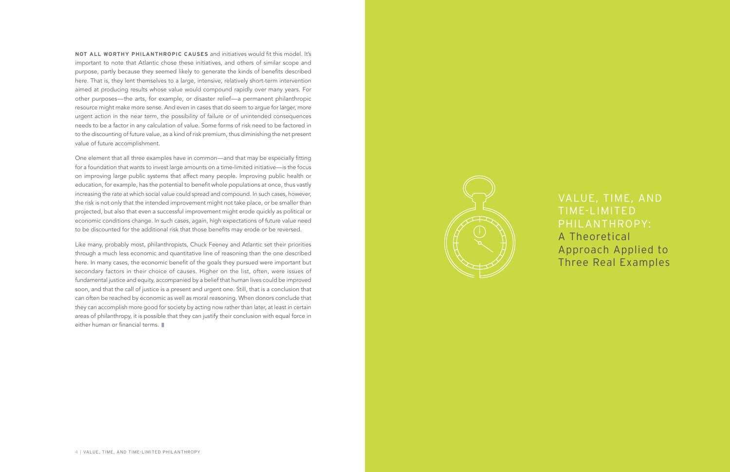**NOT ALL WORTHY PHILANTHROPIC CAUSES** and initiatives would fit this model. It's important to note that Atlantic chose these initiatives, and others of similar scope and purpose, partly because they seemed likely to generate the kinds of benefits described here. That is, they lent themselves to a large, intensive, relatively short-term intervention aimed at producing results whose value would compound rapidly over many years. For other purposes—the arts, for example, or disaster relief—a permanent philanthropic resource might make more sense. And even in cases that do seem to argue for larger, more urgent action in the near term, the possibility of failure or of unintended consequences needs to be a factor in any calculation of value. Some forms of risk need to be factored in to the discounting of future value, as a kind of risk premium, thus diminishing the net present value of future accomplishment.

Like many, probably most, philanthropists, Chuck Feeney and Atlantic set their priorities through a much less economic and quantitative line of reasoning than the one described here. In many cases, the economic benefit of the goals they pursued were important but secondary factors in their choice of causes. Higher on the list, often, were issues of fundamental justice and equity, accompanied by a belief that human lives could be improved soon, and that the call of justice is a present and urgent one. Still, that is a conclusion that can often be reached by economic as well as moral reasoning. When donors conclude that they can accomplish more good for society by acting now rather than later, at least in certain areas of philanthropy, it is possible that they can justify their conclusion with equal force in either human or financial terms.



One element that all three examples have in common—and that may be especially fitting for a foundation that wants to invest large amounts on a time-limited initiative—is the focus on improving large public systems that affect many people. Improving public health or education, for example, has the potential to benefit whole populations at once, thus vastly increasing the rate at which social value could spread and compound. In such cases, however, the risk is not only that the intended improvement might not take place, or be smaller than projected, but also that even a successful improvement might erode quickly as political or economic conditions change. In such cases, again, high expectations of future value need to be discounted for the additional risk that those benefits may erode or be reversed.

VALUE, TIME, AND TIME-LIMITED PHILANTHROPY: A Theoretical Approach Applied to Three Real Examples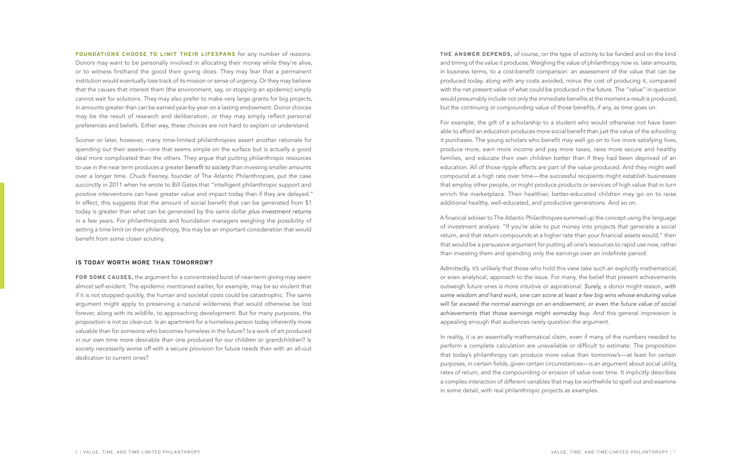**FOUNDATIONS CHOOSE TO LIMIT THEIR LIFESPANS** for any number of reasons: Donors may want to be personally involved in allocating their money while they're alive, or to witness firsthand the good their giving does. They may fear that a permanent institution would eventually lose track of its mission or sense of urgency. Or they may believe that the causes that interest them (the environment, say, or stopping an epidemic) simply cannot wait for solutions. They may also prefer to make very large grants for big projects, in amounts greater than can be earned year-by-year on a lasting endowment. Donor choices may be the result of research and deliberation, or they may simply reflect personal preferences and beliefs. Either way, these choices are not hard to explain or understand.

Sooner or later, however, many time-limited philanthropies assert another rationale for spending out their assets—one that seems simple on the surface but is actually a good deal more complicated than the others. They argue that putting philanthropic resources to use in the near term produces a greater benefit to society than investing smaller amounts over a longer time. Chuck Feeney, founder of The Atlantic Philanthropies, put the case succinctly in 2011 when he wrote to Bill Gates that "intelligent philanthropic support and positive interventions can have greater value and impact today than if they are delayed." In effect, this suggests that the amount of social benefit that can be generated from \$1 today is greater than what can be generated by the same dollar *plus investment returns* in a few years. For philanthropists and foundation managers weighing the possibility of setting a time limit on their philanthropy, this may be an important consideration that would benefit from some closer scrutiny.

#### **IS TODAY WORTH MORE THAN TOMORROW?**

**FOR SOME CAUSES,** the argument for a concentrated burst of near-term giving may seem almost self-evident. The epidemic mentioned earlier, for example, may be so virulent that if it is not stopped quickly, the human and societal costs could be catastrophic. The same argument might apply to preserving a natural wilderness that would otherwise be lost forever, along with its wildlife, to approaching development. But for many purposes, the proposition is not so clear-cut. Is an apartment for a homeless person today inherently more valuable than for someone who becomes homeless in the future? Is a work of art produced in our own time more desirable than one produced for our children or grandchildren? Is society necessarily worse off with a secure provision for future needs than with an all-out dedication to current ones?

**THE ANSWER DEPENDS,** of course, on the type of activity to be funded and on the kind and timing of the value it produces. Weighing the value of philanthropy now vs. later amounts, in business terms, to a cost-benefit comparison: an assessment of the value that can be produced today, along with any costs avoided, minus the cost of producing it, compared with the net present value of what could be produced in the future. The "value" in question would presumably include not only the immediate benefits at the moment a result is produced, but the continuing or compounding value of those benefits, if any, as time goes on.

For example, the gift of a scholarship to a student who would otherwise not have been able to afford an education produces more social benefit than just the value of the schooling it purchases. The young scholars who benefit may well go on to live more satisfying lives, produce more, earn more income and pay more taxes, raise more secure and healthy families, and educate their own children better than if they had been deprived of an education. All of those ripple effects are part of the value produced. And they might well compound at a high rate over time—the successful recipients might establish businesses that employ other people, or might produce products or services of high value that in turn enrich the marketplace. Their healthier, better-educated children may go on to raise additional healthy, well-educated, and productive generations. And so on.

A financial adviser to The Atlantic Philanthropies summed up the concept using the language of investment analysis: "If you're able to put money into projects that generate a social return, and that return compounds at a higher rate than your financial assets would," then that would be a persuasive argument for putting all one's resources to rapid use now, rather than investing them and spending only the earnings over an indefinite period.

Admittedly, it's unlikely that those who hold this view take such an explicitly mathematical, or even analytical, approach to the issue. For many, the belief that present achievements outweigh future ones is more intuitive or aspirational: Surely, a donor might reason, *with*  some wisdom and hard work, one can score at least a few big wins whose enduring value will far exceed the normal earnings on an endowment, or even the future value of social achievements that those earnings might someday buy. And this general impression is appealing enough that audiences rarely question the argument.

In reality, it is an essentially mathematical claim, even if many of the numbers needed to perform a complete calculation are unavailable or difficult to estimate. The proposition that today's philanthropy can produce more value than tomorrow's—at least for certain purposes, in certain fields, given certain circumstances—is an argument about social utility, rates of return, and the compounding or erosion of value over time. It implicitly describes a complex interaction of different variables that may be worthwhile to spell out and examine in some detail, with real philanthropic projects as examples.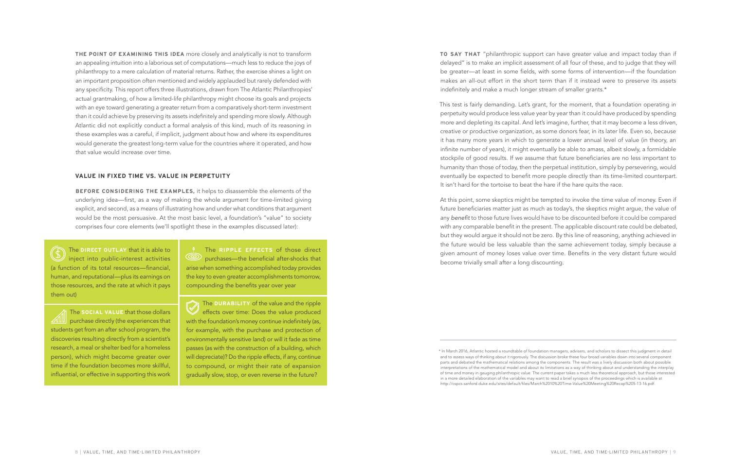**THE POINT OF EXAMINING THIS IDEA** more closely and analytically is not to transform an appealing intuition into a laborious set of computations—much less to reduce the joys of philanthropy to a mere calculation of material returns. Rather, the exercise shines a light on an important proposition often mentioned and widely applauded but rarely defended with any specificity. This report offers three illustrations, drawn from The Atlantic Philanthropies' actual grantmaking, of how a limited-life philanthropy might choose its goals and projects with an eye toward generating a greater return from a comparatively short-term investment than it could achieve by preserving its assets indefinitely and spending more slowly. Although Atlantic did not explicitly conduct a formal analysis of this kind, much of its reasoning in these examples was a careful, if implicit, judgment about how and where its expenditures would generate the greatest long-term value for the countries where it operated, and how that value would increase over time.

This test is fairly demanding. Let's grant, for the moment, that a foundation operating in perpetuity would produce less value year by year than it could have produced by spending more and depleting its capital. And let's imagine, further, that it may become a less driven, creative or productive organization, as some donors fear, in its later life. Even so, because it has many more years in which to generate a lower annual level of value (in theory, an infinite number of years), it might eventually be able to amass, albeit slowly, a formidable stockpile of good results. If we assume that future beneficiaries are no less important to humanity than those of today, then the perpetual institution, simply by persevering, would eventually be expected to benefit more people directly than its time-limited counterpart. It isn't hard for the tortoise to beat the hare if the hare quits the race.

#### **VALUE IN FIXED TIME VS. VALUE IN PERPETUITY**

**BEFORE CONSIDERING THE EXAMPLES,** it helps to disassemble the elements of the underlying idea—first, as a way of making the whole argument for time-limited giving explicit, and second, as a means of illustrating how and under what conditions that argument would be the most persuasive. At the most basic level, a foundation's "value" to society comprises four core elements (we'll spotlight these in the examples discussed later):

**TO SAY THAT** "philanthropic support can have greater value and impact today than if delayed" is to make an implicit assessment of all four of these, and to judge that they will be greater—at least in some fields, with some forms of intervention—if the foundation makes an all-out effort in the short term than if it instead were to preserve its assets indefinitely and make a much longer stream of smaller grants.\*

The **DIRECT OUTLAY** that it is able to inject into public-interest activities (a function of its total resources—financial, human, and reputational—plus its earnings on those resources, and the rate at which it pays them out)

> The **DURABILITY** of the value and the ripple effects over time: Does the value produced with the foundation's money continue indefinitely (as, for example, with the purchase and protection of environmentally sensitive land) or will it fade as time passes (as with the construction of a building, which will depreciate)? Do the ripple effects, if any, continue to compound, or might their rate of expansion gradually slow, stop, or even reverse in the future?

At this point, some skeptics might be tempted to invoke the time value of money. Even if future beneficiaries matter just as much as today's, the skeptics might argue, the value of any benefit to those future lives would have to be discounted before it could be compared with any comparable benefit in the present. The applicable discount rate could be debated, but they would argue it should not be zero. By this line of reasoning, anything achieved in the future would be less valuable than the same achievement today, simply because a given amount of money loses value over time. Benefits in the very distant future would become trivially small after a long discounting.

The **RIPPLE EFFECTS** of those direct **Solution** purchases—the beneficial after-shocks that arise when something accomplished today provides the key to even greater accomplishments tomorrow, compounding the benefits year over year

The **SOCIAL VALUE** that those dollars **AIIII** purchase directly (the experiences that students get from an after school program, the discoveries resulting directly from a scientist's research, a meal or shelter bed for a homeless person), which might become greater over time if the foundation becomes more skillful, influential, or effective in supporting this work

<sup>\*</sup> In March 2016, Atlantic hosted a roundtable of foundation managers, advisers, and scholars to dissect this judgment in detail and to assess ways of thinking about it rigorously. The discussion broke these four broad variables down into several component parts and debated the mathematical relations among the components. The result was a lively discussion both about possible interpretations of the mathematical model and about its limitations as a way of thinking about and understanding the interplay of time and money in gauging philanthropic value. The current paper takes a much less theoretical approach, but those interested in a more detailed elaboration of the variables may want to read a brief synopsis of the proceedings which is available at http://cspcs.sanford.duke.edu/sites/default/files/March%2010%20Time-Value%20Meeting%20Recap%205-13-16.pdf.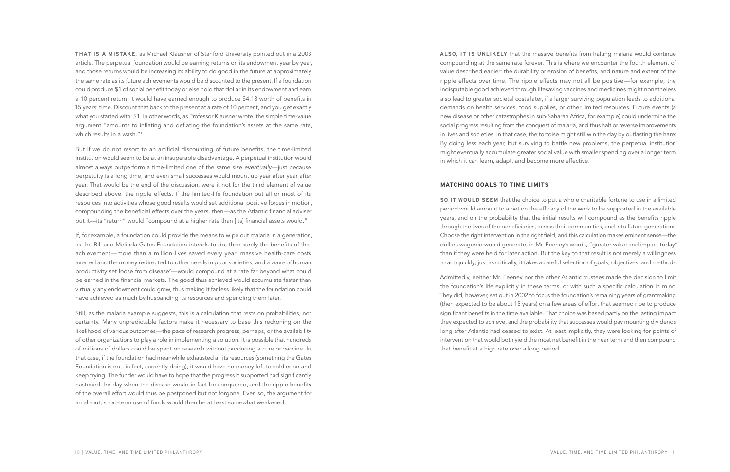**THAT IS A MISTAKE,** as Michael Klausner of Stanford University pointed out in a 2003 article. The perpetual foundation would be earning returns on its endowment year by year, and those returns would be increasing its ability to do good in the future at approximately the same rate as its future achievements would be discounted to the present. If a foundation could produce \$1 of social benefit today or else hold that dollar in its endowment and earn a 10 percent return, it would have earned enough to produce \$4.18 worth of benefits in 15 years' time. Discount that back to the present at a rate of 10 percent, and you get exactly what you started with: \$1. In other words, as Professor Klausner wrote, the simple time-value argument "amounts to inflating and deflating the foundation's assets at the same rate, which results in a wash."<sup>1</sup>

But if we do not resort to an artificial discounting of future benefits, the time-limited institution would seem to be at an insuperable disadvantage. A perpetual institution would almost always outperform a time-limited one of the same size eventually—just because perpetuity is a long time, and even small successes would mount up year after year after year. That would be the end of the discussion, were it not for the third element of value described above: the ripple effects. If the limited-life foundation put all or most of its resources into activities whose good results would set additional positive forces in motion, compounding the beneficial effects over the years, then—as the Atlantic financial adviser put it—its "return" would "compound at a higher rate than [its] financial assets would."

If, for example, a foundation could provide the means to wipe out malaria in a generation, as the Bill and Melinda Gates Foundation intends to do, then surely the benefits of that achievement—more than a million lives saved every year; massive health-care costs averted and the money redirected to other needs in poor societies; and a wave of human productivity set loose from disease<sup>2</sup>—would compound at a rate far beyond what could be earned in the financial markets. The good thus achieved would accumulate faster than virtually any endowment could grow, thus making it far less likely that the foundation could have achieved as much by husbanding its resources and spending them later.

Still, as the malaria example suggests, this is a calculation that rests on probabilities, not certainty. Many unpredictable factors make it necessary to base this reckoning on the likelihood of various outcomes—the pace of research progress, perhaps, or the availability of other organizations to play a role in implementing a solution. It is possible that hundreds of millions of dollars could be spent on research without producing a cure or vaccine. In that case, if the foundation had meanwhile exhausted all its resources (something the Gates Foundation is not, in fact, currently doing), it would have no money left to soldier on and keep trying. The funder would have to hope that the progress it supported had significantly hastened the day when the disease would in fact be conquered, and the ripple benefits of the overall effort would thus be postponed but not forgone. Even so, the argument for an all-out, short-term use of funds would then be at least somewhat weakened.

**ALSO, IT IS UNLIKELY** that the massive benefits from halting malaria would continue compounding at the same rate forever. This is where we encounter the fourth element of value described earlier: the durability or erosion of benefits, and nature and extent of the ripple effects over time. The ripple effects may not all be positive—for example, the indisputable good achieved through lifesaving vaccines and medicines might nonetheless also lead to greater societal costs later, if a larger surviving population leads to additional demands on health services, food supplies, or other limited resources. Future events (a new disease or other catastrophes in sub-Saharan Africa, for example) could undermine the social progress resulting from the conquest of malaria, and thus halt or reverse improvements in lives and societies. In that case, the tortoise might still win the day by outlasting the hare: By doing less each year, but surviving to battle new problems, the perpetual institution might eventually accumulate greater social value with smaller spending over a longer term in which it can learn, adapt, and become more effective.

## **MATCHING GOALS TO TIME LIMITS**

**SO IT WOULD SEEM** that the choice to put a whole charitable fortune to use in a limited period would amount to a bet on the efficacy of the work to be supported in the available years, and on the probability that the initial results will compound as the benefits ripple through the lives of the beneficiaries, across their communities, and into future generations. Choose the right intervention in the right field, and this calculation makes eminent sense—the dollars wagered would generate, in Mr. Feeney's words, "greater value and impact today" than if they were held for later action. But the key to that result is not merely a willingness to act quickly; just as critically, it takes a careful selection of goals, objectives, and methods.

Admittedly, neither Mr. Feeney nor the other Atlantic trustees made the decision to limit the foundation's life explicitly in these terms, or with such a specific calculation in mind. They did, however, set out in 2002 to focus the foundation's remaining years of grantmaking (then expected to be about 15 years) on a few areas of effort that seemed ripe to produce significant benefits in the time available. That choice was based partly on the lasting impact they expected to achieve, and the probability that successes would pay mounting dividends long after Atlantic had ceased to exist. At least implicitly, they were looking for points of intervention that would both yield the most net benefit in the near term and then compound that benefit at a high rate over a long period.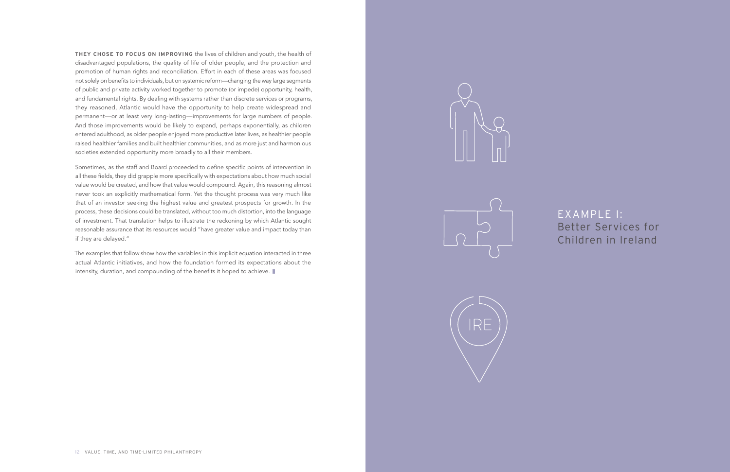EXAMPLE I: Better Services for Children in Ireland

**THEY CHOSE TO FOCUS ON IMPROVING** the lives of children and youth, the health of disadvantaged populations, the quality of life of older people, and the protection and promotion of human rights and reconciliation. Effort in each of these areas was focused not solely on benefits to individuals, but on systemic reform—changing the way large segments of public and private activity worked together to promote (or impede) opportunity, health, and fundamental rights. By dealing with systems rather than discrete services or programs, they reasoned, Atlantic would have the opportunity to help create widespread and permanent—or at least very long-lasting—improvements for large numbers of people. And those improvements would be likely to expand, perhaps exponentially, as children entered adulthood, as older people enjoyed more productive later lives, as healthier people raised healthier families and built healthier communities, and as more just and harmonious societies extended opportunity more broadly to all their members.

The examples that follow show how the variables in this implicit equation interacted in three actual Atlantic initiatives, and how the foundation formed its expectations about the intensity, duration, and compounding of the benefits it hoped to achieve.  $\blacksquare$ 







Sometimes, as the staff and Board proceeded to define specific points of intervention in all these fields, they did grapple more specifically with expectations about how much social value would be created, and how that value would compound. Again, this reasoning almost never took an explicitly mathematical form. Yet the thought process was very much like that of an investor seeking the highest value and greatest prospects for growth. In the process, these decisions could be translated, without too much distortion, into the language of investment. That translation helps to illustrate the reckoning by which Atlantic sought reasonable assurance that its resources would "have greater value and impact today than if they are delayed."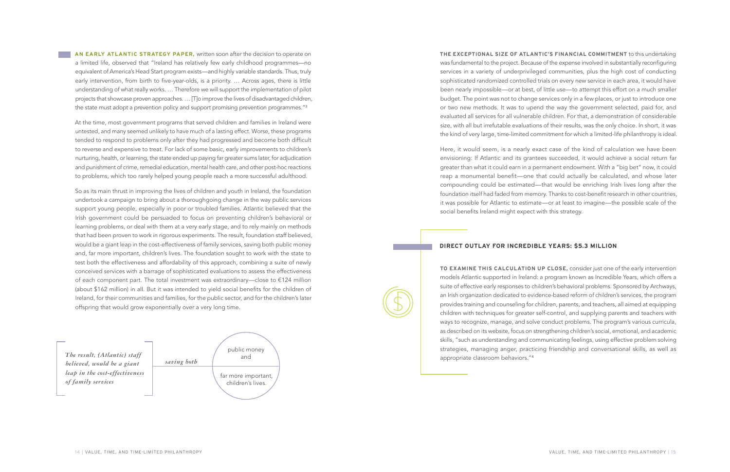**THE EXCEPTIONAL SIZE OF ATLANTIC'S FINANCIAL COMMITMENT** to this undertaking was fundamental to the project. Because of the expense involved in substantially reconfiguring services in a variety of underprivileged communities, plus the high cost of conducting sophisticated randomized controlled trials on every new service in each area, it would have been nearly impossible—or at best, of little use—to attempt this effort on a much smaller budget. The point was not to change services only in a few places, or just to introduce one or two new methods. It was to upend the way the government selected, paid for, and evaluated all services for all vulnerable children. For that, a demonstration of considerable size, with all but irrefutable evaluations of their results, was the only choice. In short, it was the kind of very large, time-limited commitment for which a limited-life philanthropy is ideal.

Here, it would seem, is a nearly exact case of the kind of calculation we have been envisioning: If Atlantic and its grantees succeeded, it would achieve a social return far greater than what it could earn in a permanent endowment. With a "big bet" now, it could reap a monumental benefit—one that could actually be calculated, and whose later compounding could be estimated—that would be enriching Irish lives long after the foundation itself had faded from memory. Thanks to cost-benefit research in other countries, it was possible for Atlantic to estimate—or at least to imagine—the possible scale of the social benefits Ireland might expect with this strategy.

**AN EARLY ATLANTIC STRATEGY PAPER,** written soon after the decision to operate on a limited life, observed that "Ireland has relatively few early childhood programmes—no equivalent of America's Head Start program exists—and highly variable standards. Thus, truly early intervention, from birth to five-year-olds, is a priority. … Across ages, there is little understanding of what really works. … Therefore we will support the implementation of pilot projects that showcase proven approaches. … [T]o improve the lives of disadvantaged children, the state must adopt a prevention policy and support promising prevention programmes."<sup>3</sup>

At the time, most government programs that served children and families in Ireland were untested, and many seemed unlikely to have much of a lasting effect. Worse, these programs tended to respond to problems only after they had progressed and become both difficult to reverse and expensive to treat. For lack of some basic, early improvements to children's nurturing, health, or learning, the state ended up paying far greater sums later, for adjudication and punishment of crime, remedial education, mental health care, and other post-hoc reactions to problems, which too rarely helped young people reach a more successful adulthood.

So as its main thrust in improving the lives of children and youth in Ireland, the foundation undertook a campaign to bring about a thoroughgoing change in the way public services support young people, especially in poor or troubled families. Atlantic believed that the Irish government could be persuaded to focus on preventing children's behavioral or learning problems, or deal with them at a very early stage, and to rely mainly on methods that had been proven to work in rigorous experiments. The result, foundation staff believed, would be a giant leap in the cost-effectiveness of family services, saving both public money and, far more important, children's lives. The foundation sought to work with the state to test both the effectiveness and affordability of this approach, combining a suite of newly conceived services with a barrage of sophisticated evaluations to assess the effectiveness of each component part. The total investment was extraordinary—close to €124 million (about \$162 million) in all. But it was intended to yield social benefits for the children of Ireland, for their communities and families, for the public sector, and for the children's later offspring that would grow exponentially over a very long time.

## **DIRECT OUTLAY FOR INCREDIBLE YEARS: \$5.3 MILLION**

**TO EXAMINE THIS CALCULATION UP CLOSE,** consider just one of the early intervention models Atlantic supported in Ireland: a program known as Incredible Years, which offers a suite of effective early responses to children's behavioral problems. Sponsored by Archways, an Irish organization dedicated to evidence-based reform of children's services, the program provides training and counseling for children, parents, and teachers, all aimed at equipping children with techniques for greater self-control, and supplying parents and teachers with ways to recognize, manage, and solve conduct problems. The program's various curricula, as described on its website, focus on strengthening children's social, emotional, and academic skills, "such as understanding and communicating feelings, using effective problem solving strategies, managing anger, practicing friendship and conversational skills, as well as

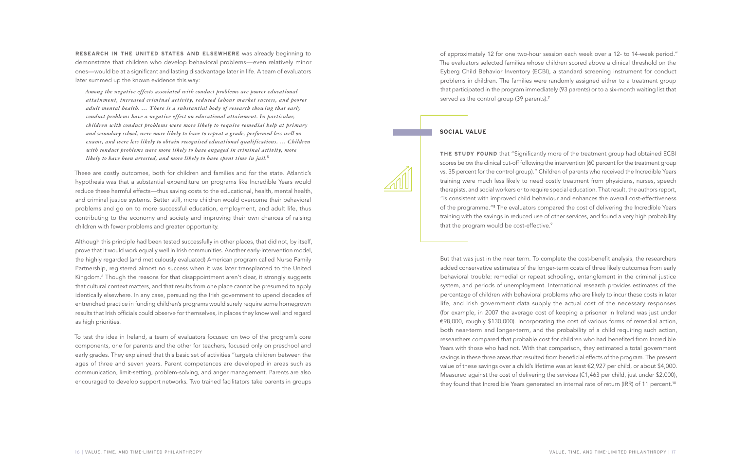But that was just in the near term. To complete the cost-benefit analysis, the researchers added conservative estimates of the longer-term costs of three likely outcomes from early behavioral trouble: remedial or repeat schooling, entanglement in the criminal justice system, and periods of unemployment. International research provides estimates of the percentage of children with behavioral problems who are likely to incur these costs in later life, and Irish government data supply the actual cost of the necessary responses (for example, in 2007 the average cost of keeping a prisoner in Ireland was just under €98,000, roughly \$130,000). Incorporating the cost of various forms of remedial action, both near-term and longer-term, and the probability of a child requiring such action, researchers compared that probable cost for children who had benefited from Incredible Years with those who had not. With that comparison, they estimated a total government savings in these three areas that resulted from beneficial effects of the program. The present value of these savings over a child's lifetime was at least €2,927 per child, or about \$4,000. Measured against the cost of delivering the services ( $\epsilon$ 1,463 per child, just under \$2,000), they found that Incredible Years generated an internal rate of return (IRR) of 11 percent.<sup>10</sup>

**RESEARCH IN THE UNITED STATES AND ELSEWHERE** was already beginning to demonstrate that children who develop behavioral problems—even relatively minor ones—would be at a significant and lasting disadvantage later in life. A team of evaluators later summed up the known evidence this way:

*Among the negative effects associated with conduct problems are poorer educational attainment, increased criminal activity, reduced labour market success, and poorer adult mental health. … There is a substantial body of research showing that early conduct problems have a negative effect on educational attainment. In particular, children with conduct problems were more likely to require remedial help at primary and secondary school, were more likely to have to repeat a grade, performed less well on exams, and were less likely to obtain recognised educational qualifications. … Children with conduct problems were more likely to have engaged in criminal activity, more likely to have been arrested, and more likely to have spent time in jail.*<sup>5</sup>

**THE STUDY FOUND** that "Significantly more of the treatment group had obtained ECBI scores below the clinical cut-off following the intervention (60 percent for the treatment group vs. 35 percent for the control group)." Children of parents who received the Incredible Years training were much less likely to need costly treatment from physicians, nurses, speech therapists, and social workers or to require special education. That result, the authors report, "is consistent with improved child behaviour and enhances the overall cost-effectiveness of the programme."<sup>8</sup> The evaluators compared the cost of delivering the Incredible Years training with the savings in reduced use of other services, and found a very high probability that the program would be cost-effective.<sup>9</sup>

These are costly outcomes, both for children and families and for the state. Atlantic's hypothesis was that a substantial expenditure on programs like Incredible Years would reduce these harmful effects—thus saving costs to the educational, health, mental health, and criminal justice systems. Better still, more children would overcome their behavioral problems and go on to more successful education, employment, and adult life, thus contributing to the economy and society and improving their own chances of raising children with fewer problems and greater opportunity.

Although this principle had been tested successfully in other places, that did not, by itself, prove that it would work equally well in Irish communities. Another early-intervention model, the highly regarded (and meticulously evaluated) American program called Nurse Family Partnership, registered almost no success when it was later transplanted to the United Kingdom.<sup>6</sup> Though the reasons for that disappointment aren't clear, it strongly suggests that cultural context matters, and that results from one place cannot be presumed to apply identically elsewhere. In any case, persuading the Irish government to upend decades of entrenched practice in funding children's programs would surely require some homegrown results that Irish officials could observe for themselves, in places they know well and regard as high priorities.

To test the idea in Ireland, a team of evaluators focused on two of the program's core components, one for parents and the other for teachers, focused only on preschool and early grades. They explained that this basic set of activities "targets children between the ages of three and seven years. Parent competences are developed in areas such as communication, limit-setting, problem-solving, and anger management. Parents are also encouraged to develop support networks. Two trained facilitators take parents in groups

# served as the control group (39 parents).<sup>7</sup>

of approximately 12 for one two-hour session each week over a 12- to 14-week period." The evaluators selected families whose children scored above a clinical threshold on the Eyberg Child Behavior Inventory (ECBI), a standard screening instrument for conduct problems in children. The families were randomly assigned either to a treatment group that participated in the program immediately (93 parents) or to a six-month waiting list that

## **SOCIAL VALUE**

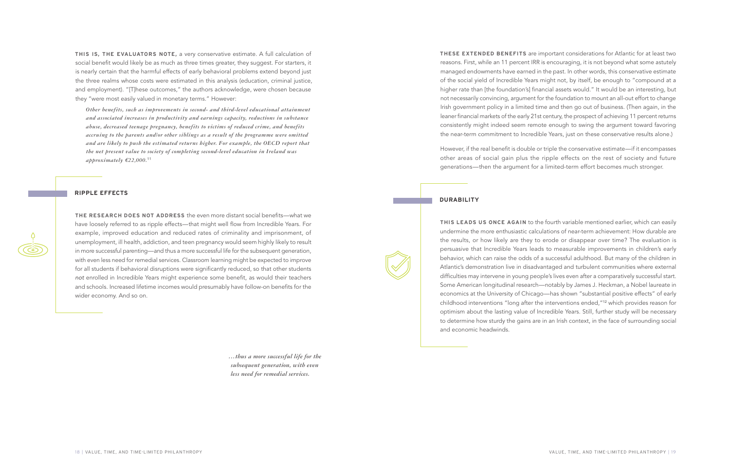**THESE EXTENDED BENEFITS** are important considerations for Atlantic for at least two reasons. First, while an 11 percent IRR is encouraging, it is not beyond what some astutely managed endowments have earned in the past. In other words, this conservative estimate of the social yield of Incredible Years might not, by itself, be enough to "compound at a higher rate than [the foundation's] financial assets would." It would be an interesting, but not necessarily convincing, argument for the foundation to mount an all-out effort to change Irish government policy in a limited time and then go out of business. (Then again, in the leaner financial markets of the early 21st century, the prospect of achieving 11 percent returns consistently might indeed seem remote enough to swing the argument toward favoring the near-term commitment to Incredible Years, just on these conservative results alone.)

However, if the real benefit is double or triple the conservative estimate—if it encompasses other areas of social gain plus the ripple effects on the rest of society and future generations—then the argument for a limited-term effort becomes much stronger.

**THIS IS, THE EVALUATORS NOTE,** a very conservative estimate. A full calculation of social benefit would likely be as much as three times greater, they suggest. For starters, it is nearly certain that the harmful effects of early behavioral problems extend beyond just the three realms whose costs were estimated in this analysis (education, criminal justice, and employment). "[T]hese outcomes," the authors acknowledge, were chosen because they "were most easily valued in monetary terms." However:

*Other benefits, such as improvements in second- and third-level educational attainment and associated increases in productivity and earnings capacity, reductions in substance abuse, decreased teenage pregnancy, benefits to victims of reduced crime, and benefits accruing to the parents and/or other siblings as a result of the programme were omitted and are likely to push the estimated returns higher. For example, the OECD report that the net present value to society of completing second-level education in Ireland was approximately €22,000.*<sup>11</sup>

#### **RIPPLE EFFECTS**

### **DURABILITY**



**THE RESEARCH DOES NOT ADDRESS** the even more distant social benefits—what we have loosely referred to as ripple effects—that might well flow from Incredible Years. For example, improved education and reduced rates of criminality and imprisonment, of unemployment, ill health, addiction, and teen pregnancy would seem highly likely to result in more successful parenting—and thus a more successful life for the subsequent generation, with even less need for remedial services. Classroom learning might be expected to improve for all students if behavioral disruptions were significantly reduced, so that other students *not* enrolled in Incredible Years might experience some benefit, as would their teachers and schools. Increased lifetime incomes would presumably have follow-on benefits for the wider economy. And so on.

**THIS LEADS US ONCE AGAIN** to the fourth variable mentioned earlier, which can easily undermine the more enthusiastic calculations of near-term achievement: How durable are the results, or how likely are they to erode or disappear over time? The evaluation is persuasive that Incredible Years leads to measurable improvements in children's early behavior, which can raise the odds of a successful adulthood. But many of the children in Atlantic's demonstration live in disadvantaged and turbulent communities where external difficulties may intervene in young people's lives even after a comparatively successful start. Some American longitudinal research—notably by James J. Heckman, a Nobel laureate in economics at the University of Chicago—has shown "substantial positive effects" of early childhood interventions "long after the interventions ended,"<sup>12</sup> which provides reason for optimism about the lasting value of Incredible Years. Still, further study will be necessary to determine how sturdy the gains are in an Irish context, in the face of surrounding social and economic headwinds.

*…thus a more successful life for the subsequent generation, with even less need for remedial services.*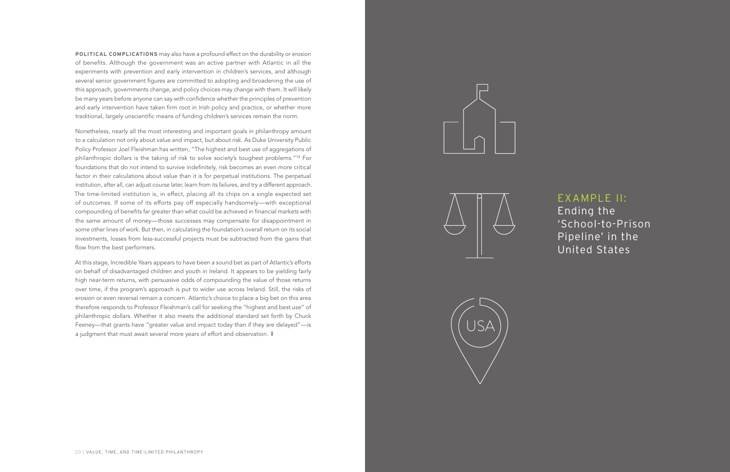**POLITICAL COMPLICATIONS** may also have a profound effect on the durability or erosion of benefits. Although the government was an active partner with Atlantic in all the experiments with prevention and early intervention in children's services, and although several senior government figures are committed to adopting and broadening the use of this approach, governments change, and policy choices may change with them. It will likely be many years before anyone can say with confidence whether the principles of prevention and early intervention have taken firm root in Irish policy and practice, or whether more traditional, largely unscientific means of funding children's services remain the norm.

At this stage, Incredible Years appears to have been a sound bet as part of Atlantic's efforts on behalf of disadvantaged children and youth in Ireland. It appears to be yielding fairly high near-term returns, with persuasive odds of compounding the value of those returns over time, if the program's approach is put to wider use across Ireland. Still, the risks of erosion or even reversal remain a concern. Atlantic's choice to place a big bet on this area therefore responds to Professor Fleishman's call for seeking the "highest and best use" of philanthropic dollars. Whether it also meets the additional standard set forth by Chuck Feeney—that grants have "greater value and impact today than if they are delayed"—is a judgment that must await several more years of effort and observation.  $\blacksquare$ 







Nonetheless, nearly all the most interesting and important goals in philanthropy amount to a calculation not only about value and impact, but about risk. As Duke University Public Policy Professor Joel Fleishman has written, "The highest and best use of aggregations of philanthropic dollars is the taking of risk to solve society's toughest problems."<sup>13</sup> For foundations that do not intend to survive indefinitely, risk becomes an even more critical factor in their calculations about value than it is for perpetual institutions. The perpetual institution, after all, can adjust course later, learn from its failures, and try a different approach. The time-limited institution is, in effect, placing all its chips on a single expected set of outcomes. If some of its efforts pay off especially handsomely—with exceptional compounding of benefits far greater than what could be achieved in financial markets with the same amount of money—those successes may compensate for disappointment in some other lines of work. But then, in calculating the foundation's overall return on its social investments, losses from less-successful projects must be subtracted from the gains that flow from the best performers.

## EXAMPLE II:

Ending the 'School-to-Prison Pipeline' in the United States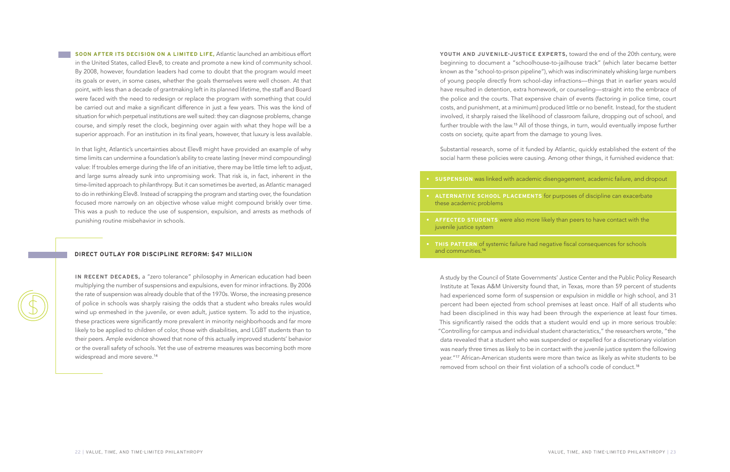**• SUSPENSION** was linked with academic disengagement, academic failure, and dropout

**• ALTERNATIVE SCHOOL PLACEMENTS** for purposes of discipline can exacerbate

**• AFFECTED STUDENTS** were also more likely than peers to have contact with the

**• THIS PATTERN** of systemic failure had negative fiscal consequences for schools

- 
- these academic problems
- juvenile justice system
- and communities.<sup>16</sup>

**YOUTH AND JUVENILE-JUSTICE EXPERTS,** toward the end of the 20th century, were beginning to document a "schoolhouse-to-jailhouse track" (which later became better known as the "school-to-prison pipeline"), which was indiscriminately whisking large numbers of young people directly from school-day infractions—things that in earlier years would have resulted in detention, extra homework, or counseling—straight into the embrace of the police and the courts. That expensive chain of events (factoring in police time, court costs, and punishment, at a minimum) produced little or no benefit. Instead, for the student involved, it sharply raised the likelihood of classroom failure, dropping out of school, and further trouble with the law.<sup>15</sup> All of those things, in turn, would eventually impose further costs on society, quite apart from the damage to young lives.

Substantial research, some of it funded by Atlantic, quickly established the extent of the social harm these policies were causing. Among other things, it furnished evidence that:

A study by the Council of State Governments' Justice Center and the Public Policy Research Institute at Texas A&M University found that, in Texas, more than 59 percent of students had experienced some form of suspension or expulsion in middle or high school, and 31 percent had been ejected from school premises at least once. Half of all students who had been disciplined in this way had been through the experience at least four times. This significantly raised the odds that a student would end up in more serious trouble: "Controlling for campus and individual student characteristics," the researchers wrote, "the data revealed that a student who was suspended or expelled for a discretionary violation was nearly three times as likely to be in contact with the juvenile justice system the following year."<sup>17</sup> African-American students were more than twice as likely as white students to be removed from school on their first violation of a school's code of conduct.<sup>18</sup>

**SOON AFTER ITS DECISION ON A LIMITED LIFE,** Atlantic launched an ambitious effort in the United States, called Elev8, to create and promote a new kind of community school. By 2008, however, foundation leaders had come to doubt that the program would meet its goals or even, in some cases, whether the goals themselves were well chosen. At that point, with less than a decade of grantmaking left in its planned lifetime, the staff and Board were faced with the need to redesign or replace the program with something that could be carried out and make a significant difference in just a few years. This was the kind of situation for which perpetual institutions are well suited: they can diagnose problems, change course, and simply reset the clock, beginning over again with what they hope will be a superior approach. For an institution in its final years, however, that luxury is less available.

In that light, Atlantic's uncertainties about Elev8 might have provided an example of why time limits can undermine a foundation's ability to create lasting (never mind compounding) value: If troubles emerge during the life of an initiative, there may be little time left to adjust, and large sums already sunk into unpromising work. That risk is, in fact, inherent in the time-limited approach to philanthropy. But it can sometimes be averted, as Atlantic managed to do in rethinking Elev8. Instead of scrapping the program and starting over, the foundation focused more narrowly on an objective whose value might compound briskly over time. This was a push to reduce the use of suspension, expulsion, and arrests as methods of punishing routine misbehavior in schools.

#### **DIRECT OUTLAY FOR DISCIPLINE REFORM: \$47 MILLION**

**IN RECENT DECADES,** a "zero tolerance" philosophy in American education had been multiplying the number of suspensions and expulsions, even for minor infractions. By 2006 the rate of suspension was already double that of the 1970s. Worse, the increasing presence of police in schools was sharply raising the odds that a student who breaks rules would wind up enmeshed in the juvenile, or even adult, justice system. To add to the injustice, these practices were significantly more prevalent in minority neighborhoods and far more likely to be applied to children of color, those with disabilities, and LGBT students than to their peers. Ample evidence showed that none of this actually improved students' behavior or the overall safety of schools. Yet the use of extreme measures was becoming both more widespread and more severe.14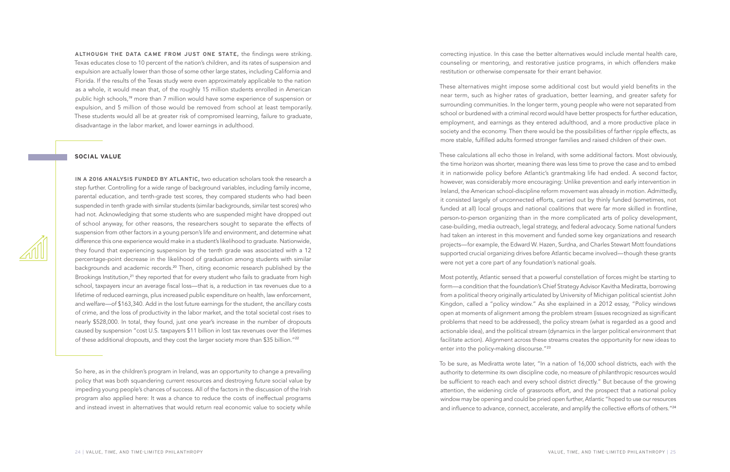**ALTHOUGH THE DATA CAME FROM JUST ONE STATE,** the findings were striking. Texas educates close to 10 percent of the nation's children, and its rates of suspension and expulsion are actually lower than those of some other large states, including California and Florida. If the results of the Texas study were even approximately applicable to the nation as a whole, it would mean that, of the roughly 15 million students enrolled in American public high schools,<sup>19</sup> more than 7 million would have some experience of suspension or expulsion, and 5 million of those would be removed from school at least temporarily. These students would all be at greater risk of compromised learning, failure to graduate, disadvantage in the labor market, and lower earnings in adulthood.

So here, as in the children's program in Ireland, was an opportunity to change a prevailing policy that was both squandering current resources and destroying future social value by impeding young people's chances of success. All of the factors in the discussion of the Irish program also applied here: It was a chance to reduce the costs of ineffectual programs and instead invest in alternatives that would return real economic value to society while

correcting injustice. In this case the better alternatives would include mental health care, counseling or mentoring, and restorative justice programs, in which offenders make restitution or otherwise compensate for their errant behavior.

Most potently, Atlantic sensed that a powerful constellation of forces might be starting to form—a condition that the foundation's Chief Strategy Advisor Kavitha Mediratta, borrowing from a political theory originally articulated by University of Michigan political scientist John Kingdon, called a "policy window." As she explained in a 2012 essay, "Policy windows open at moments of alignment among the problem stream (issues recognized as significant problems that need to be addressed), the policy stream (what is regarded as a good and actionable idea), and the political stream (dynamics in the larger political environment that facilitate action). Alignment across these streams creates the opportunity for new ideas to enter into the policy-making discourse."<sup>23</sup>

These alternatives might impose some additional cost but would yield benefits in the near term, such as higher rates of graduation, better learning, and greater safety for surrounding communities. In the longer term, young people who were not separated from school or burdened with a criminal record would have better prospects for further education, employment, and earnings as they entered adulthood, and a more productive place in society and the economy. Then there would be the possibilities of farther ripple effects, as more stable, fulfilled adults formed stronger families and raised children of their own.

To be sure, as Mediratta wrote later, "In a nation of 16,000 school districts, each with the authority to determine its own discipline code, no measure of philanthropic resources would be sufficient to reach each and every school district directly." But because of the growing attention, the widening circle of grassroots effort, and the prospect that a national policy window may be opening and could be pried open further, Atlantic "hoped to use our resources and influence to advance, connect, accelerate, and amplify the collective efforts of others."<sup>24</sup>



These calculations all echo those in Ireland, with some additional factors. Most obviously, the time horizon was shorter, meaning there was less time to prove the case and to embed it in nationwide policy before Atlantic's grantmaking life had ended. A second factor, however, was considerably more encouraging: Unlike prevention and early intervention in Ireland, the American school-discipline reform movement was already in motion. Admittedly, it consisted largely of unconnected efforts, carried out by thinly funded (sometimes, not funded at all) local groups and national coalitions that were far more skilled in frontline, person-to-person organizing than in the more complicated arts of policy development, case-building, media outreach, legal strategy, and federal advocacy. Some national funders had taken an interest in this movement and funded some key organizations and research projects—for example, the Edward W. Hazen, Surdna, and Charles Stewart Mott foundations supported crucial organizing drives before Atlantic became involved—though these grants were not yet a core part of any foundation's national goals.

#### **SOCIAL VALUE**

**IN A 2016 ANALYSIS FUNDED BY ATLANTIC,** two education scholars took the research a step further. Controlling for a wide range of background variables, including family income, parental education, and tenth-grade test scores, they compared students who had been suspended in tenth grade with similar students (similar backgrounds, similar test scores) who had not. Acknowledging that some students who are suspended might have dropped out of school anyway, for other reasons, the researchers sought to separate the effects of suspension from other factors in a young person's life and environment, and determine what difference this one experience would make in a student's likelihood to graduate. Nationwide, they found that experiencing suspension by the tenth grade was associated with a 12 percentage-point decrease in the likelihood of graduation among students with similar backgrounds and academic records.<sup>20</sup> Then, citing economic research published by the Brookings Institution,<sup>21</sup> they reported that for every student who fails to graduate from high school, taxpayers incur an average fiscal loss—that is, a reduction in tax revenues due to a lifetime of reduced earnings, plus increased public expenditure on health, law enforcement, and welfare—of \$163,340. Add in the lost future earnings for the student, the ancillary costs of crime, and the loss of productivity in the labor market, and the total societal cost rises to nearly \$528,000. In total, they found, just one year's increase in the number of dropouts caused by suspension "cost U.S. taxpayers \$11 billion in lost tax revenues over the lifetimes of these additional dropouts, and they cost the larger society more than \$35 billion."22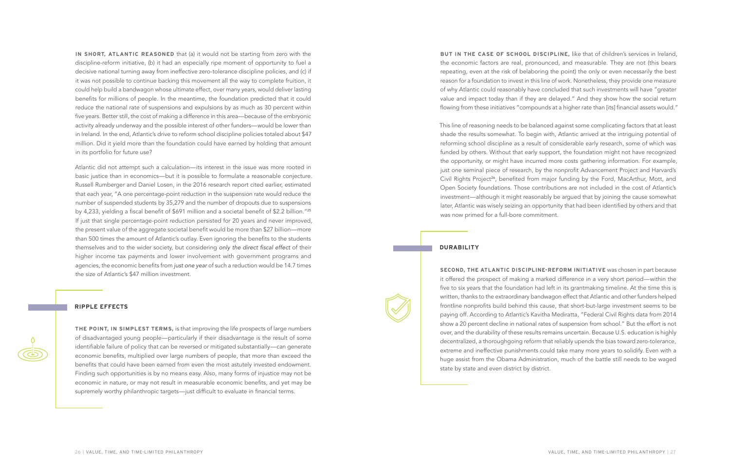**IN SHORT, ATLANTIC REASONED** that (a) it would not be starting from zero with the discipline-reform initiative, (b) it had an especially ripe moment of opportunity to fuel a decisive national turning away from ineffective zero-tolerance discipline policies, and (c) if it was not possible to continue backing this movement all the way to complete fruition, it could help build a bandwagon whose ultimate effect, over many years, would deliver lasting benefits for millions of people. In the meantime, the foundation predicted that it could reduce the national rate of suspensions and expulsions by as much as 30 percent within five years. Better still, the cost of making a difference in this area—because of the embryonic activity already underway and the possible interest of other funders—would be lower than in Ireland. In the end, Atlantic's drive to reform school discipline policies totaled about \$47 million. Did it yield more than the foundation could have earned by holding that amount in its portfolio for future use?

Atlantic did not attempt such a calculation—its interest in the issue was more rooted in basic justice than in economics—but it is possible to formulate a reasonable conjecture. Russell Rumberger and Daniel Losen, in the 2016 research report cited earlier, estimated that each year, "A one percentage-point reduction in the suspension rate would reduce the number of suspended students by 35,279 and the number of dropouts due to suspensions by 4,233, yielding a fiscal benefit of \$691 million and a societal benefit of \$2.2 billion."<sup>25</sup> If just that single percentage-point reduction persisted for 20 years and never improved, the present value of the aggregate societal benefit would be more than \$27 billion—more than 500 times the amount of Atlantic's outlay. Even ignoring the benefits to the students themselves and to the wider society, but considering only the direct fiscal effect of their higher income tax payments and lower involvement with government programs and agencies, the economic benefits from just one year of such a reduction would be 14.7 times the size of Atlantic's \$47 million investment.

**BUT IN THE CASE OF SCHOOL DISCIPLINE,** like that of children's services in Ireland, the economic factors are real, pronounced, and measurable. They are not (this bears repeating, even at the risk of belaboring the point) the only or even necessarily the best reason for a foundation to invest in this line of work. Nonetheless, they provide one measure of why Atlantic could reasonably have concluded that such investments will have "greater value and impact today than if they are delayed." And they show how the social return flowing from these initiatives "compounds at a higher rate than [its] financial assets would."

This line of reasoning needs to be balanced against some complicating factors that at least shade the results somewhat. To begin with, Atlantic arrived at the intriguing potential of reforming school discipline as a result of considerable early research, some of which was funded by others. Without that early support, the foundation might not have recognized the opportunity, or might have incurred more costs gathering information. For example, just one seminal piece of research, by the nonprofit Advancement Project and Harvard's Civil Rights Project<sup>26</sup>, benefited from major funding by the Ford, MacArthur, Mott, and Open Society foundations. Those contributions are not included in the cost of Atlantic's investment—although it might reasonably be argued that by joining the cause somewhat later, Atlantic was wisely seizing an opportunity that had been identified by others and that was now primed for a full-bore commitment.

#### **RIPPLE EFFECTS**

**THE POINT, IN SIMPLEST TERMS,** is that improving the life prospects of large numbers of disadvantaged young people—particularly if their disadvantage is the result of some identifiable failure of policy that can be reversed or mitigated substantially—can generate economic benefits, multiplied over large numbers of people, that more than exceed the benefits that could have been earned from even the most astutely invested endowment. Finding such opportunities is by no means easy. Also, many forms of injustice may not be economic in nature, or may not result in measurable economic benefits, and yet may be supremely worthy philanthropic targets—just difficult to evaluate in financial terms.

#### **DURABILITY**

**SECOND, THE ATLANTIC DISCIPLINE-REFORM INITIATIVE** was chosen in part because it offered the prospect of making a marked difference in a very short period—within the five to six years that the foundation had left in its grantmaking timeline. At the time this is written, thanks to the extraordinary bandwagon effect that Atlantic and other funders helped frontline nonprofits build behind this cause, that short-but-large investment seems to be paying off. According to Atlantic's Kavitha Mediratta, "Federal Civil Rights data from 2014 show a 20 percent decline in national rates of suspension from school." But the effort is not over, and the durability of these results remains uncertain. Because U.S. education is highly decentralized, a thoroughgoing reform that reliably upends the bias toward zero-tolerance, extreme and ineffective punishments could take many more years to solidify. Even with a huge assist from the Obama Administration, much of the battle still needs to be waged state by state and even district by district.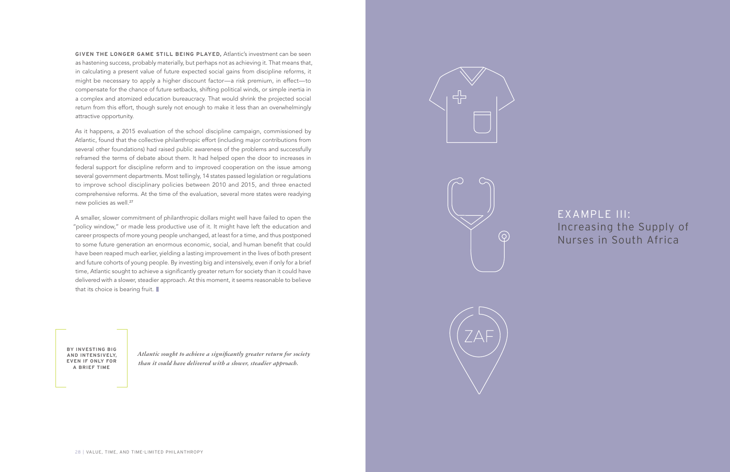As it happens, a 2015 evaluation of the school discipline campaign, commissioned by Atlantic, found that the collective philanthropic effort (including major contributions from several other foundations) had raised public awareness of the problems and successfully reframed the terms of debate about them. It had helped open the door to increases in federal support for discipline reform and to improved cooperation on the issue among several government departments. Most tellingly, 14 states passed legislation or regulations to improve school disciplinary policies between 2010 and 2015, and three enacted comprehensive reforms. At the time of the evaluation, several more states were readying new policies as well.<sup>27</sup>

**GIVEN THE LONGER GAME STILL BEING PLAYED,** Atlantic's investment can be seen as hastening success, probably materially, but perhaps not as achieving it. That means that, in calculating a present value of future expected social gains from discipline reforms, it might be necessary to apply a higher discount factor—a risk premium, in effect—to compensate for the chance of future setbacks, shifting political winds, or simple inertia in a complex and atomized education bureaucracy. That would shrink the projected social return from this effort, though surely not enough to make it less than an overwhelmingly attractive opportunity.

A smaller, slower commitment of philanthropic dollars might well have failed to open the "policy window," or made less productive use of it. It might have left the education and career prospects of more young people unchanged, at least for a time, and thus postponed to some future generation an enormous economic, social, and human benefit that could have been reaped much earlier, yielding a lasting improvement in the lives of both present and future cohorts of young people. By investing big and intensively, even if only for a brief time, Atlantic sought to achieve a significantly greater return for society than it could have delivered with a slower, steadier approach. At this moment, it seems reasonable to believe that its choice is bearing fruit.

EXAMPLE III: Increasing the Supply of Nurses in South Africa

*Atlantic sought to achieve a significantly greater return for society than it could have delivered with a slower, steadier approach.*







**BY INVESTING BIG AND INTENSIVELY, EVEN IF ONLY FOR A BRIEF TIME**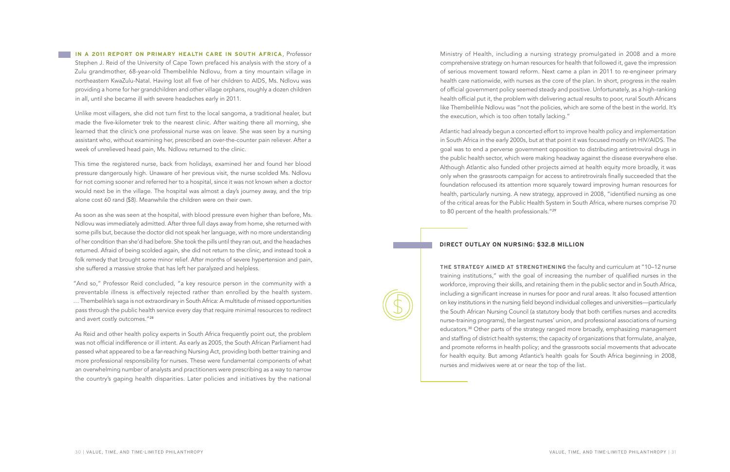Ministry of Health, including a nursing strategy promulgated in 2008 and a more comprehensive strategy on human resources for health that followed it, gave the impression of serious movement toward reform. Next came a plan in 2011 to re-engineer primary health care nationwide, with nurses as the core of the plan. In short, progress in the realm of official government policy seemed steady and positive. Unfortunately, as a high-ranking health official put it, the problem with delivering actual results to poor, rural South Africans like Thembelihle Ndlovu was "not the policies, which are some of the best in the world. It's the execution, which is too often totally lacking."

**IN A 2011 REPORT ON PRIMARY HEALTH CARE IN SOUTH AFRICA**, Professor Stephen J. Reid of the University of Cape Town prefaced his analysis with the story of a Zulu grandmother, 68-year-old Thembelihle Ndlovu, from a tiny mountain village in northeastern KwaZulu-Natal. Having lost all five of her children to AIDS, Ms. Ndlovu was providing a home for her grandchildren and other village orphans, roughly a dozen children in all, until she became ill with severe headaches early in 2011.

> Atlantic had already begun a concerted effort to improve health policy and implementation in South Africa in the early 2000s, but at that point it was focused mostly on HIV/AIDS. The goal was to end a perverse government opposition to distributing antiretroviral drugs in the public health sector, which were making headway against the disease everywhere else. Although Atlantic also funded other projects aimed at health equity more broadly, it was only when the grassroots campaign for access to antiretrovirals finally succeeded that the foundation refocused its attention more squarely toward improving human resources for health, particularly nursing. A new strategy, approved in 2008, "identified nursing as one of the critical areas for the Public Health System in South Africa, where nurses comprise 70 to 80 percent of the health professionals."<sup>29</sup>

Unlike most villagers, she did not turn first to the local sangoma, a traditional healer, but made the five-kilometer trek to the nearest clinic. After waiting there all morning, she learned that the clinic's one professional nurse was on leave. She was seen by a nursing assistant who, without examining her, prescribed an over-the-counter pain reliever. After a week of unrelieved head pain, Ms. Ndlovu returned to the clinic.

This time the registered nurse, back from holidays, examined her and found her blood pressure dangerously high. Unaware of her previous visit, the nurse scolded Ms. Ndlovu for not coming sooner and referred her to a hospital, since it was not known when a doctor would next be in the village. The hospital was almost a day's journey away, and the trip alone cost 60 rand (\$8). Meanwhile the children were on their own.

As soon as she was seen at the hospital, with blood pressure even higher than before, Ms. Ndlovu was immediately admitted. After three full days away from home, she returned with some pills but, because the doctor did not speak her language, with no more understanding of her condition than she'd had before. She took the pills until they ran out, and the headaches returned. Afraid of being scolded again, she did not return to the clinic, and instead took a folk remedy that brought some minor relief. After months of severe hypertension and pain, she suffered a massive stroke that has left her paralyzed and helpless.

"And so," Professor Reid concluded, "a key resource person in the community with a preventable illness is effectively rejected rather than enrolled by the health system. … Thembelihle's saga is not extraordinary in South Africa: A multitude of missed opportunities pass through the public health service every day that require minimal resources to redirect and avert costly outcomes."<sup>28</sup>

As Reid and other health policy experts in South Africa frequently point out, the problem was not official indifference or ill intent. As early as 2005, the South African Parliament had passed what appeared to be a far-reaching Nursing Act, providing both better training and more professional responsibility for nurses. These were fundamental components of what an overwhelming number of analysts and practitioners were prescribing as a way to narrow the country's gaping health disparities. Later policies and initiatives by the national

## **DIRECT OUTLAY ON NURSING: \$32.8 MILLION**

**THE STRATEGY AIMED AT STRENGTHENING** the faculty and curriculum at "10–12 nurse training institutions," with the goal of increasing the number of qualified nurses in the workforce, improving their skills, and retaining them in the public sector and in South Africa, including a significant increase in nurses for poor and rural areas. It also focused attention on key institutions in the nursing field beyond individual colleges and universities—particularly the South African Nursing Council (a statutory body that both certifies nurses and accredits nurse-training programs), the largest nurses' union, and professional associations of nursing educators.<sup>30</sup> Other parts of the strategy ranged more broadly, emphasizing management and staffing of district health systems; the capacity of organizations that formulate, analyze, and promote reforms in health policy; and the grassroots social movements that advocate for health equity. But among Atlantic's health goals for South Africa beginning in 2008, nurses and midwives were at or near the top of the list.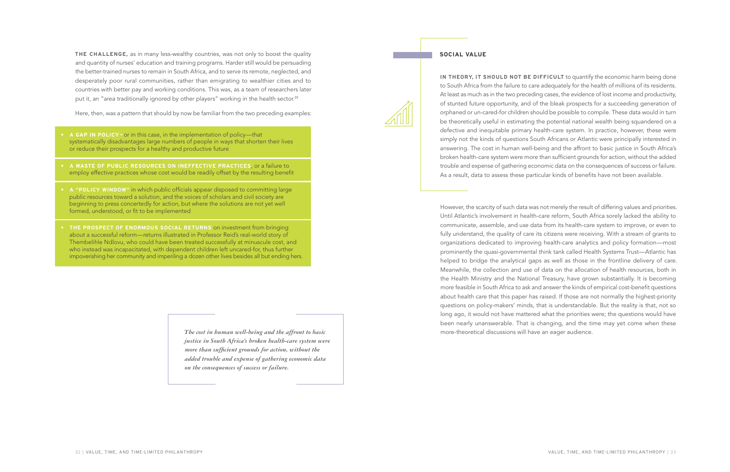**THE CHALLENGE,** as in many less-wealthy countries, was not only to boost the quality and quantity of nurses' education and training programs. Harder still would be persuading the better-trained nurses to remain in South Africa, and to serve its remote, neglected, and desperately poor rural communities, rather than emigrating to wealthier cities and to countries with better pay and working conditions. This was, as a team of researchers later put it, an "area traditionally ignored by other players" working in the health sector.<sup>31</sup>

Here, then, was a pattern that should by now be familiar from the two preceding examples:

However, the scarcity of such data was not merely the result of differing values and priorities. Until Atlantic's involvement in health-care reform, South Africa sorely lacked the ability to communicate, assemble, and use data from its health-care system to improve, or even to fully understand, the quality of care its citizens were receiving. With a stream of grants to organizations dedicated to improving health-care analytics and policy formation—most prominently the quasi-governmental think tank called Health Systems Trust—Atlantic has helped to bridge the analytical gaps as well as those in the frontline delivery of care. Meanwhile, the collection and use of data on the allocation of health resources, both in the Health Ministry and the National Treasury, have grown substantially. It is becoming more feasible in South Africa to ask and answer the kinds of empirical cost-benefit questions about health care that this paper has raised. If those are not normally the highest-priority questions on policy-makers' minds, that is understandable. But the reality is that, not so long ago, it would not have mattered what the priorities were; the questions would have been nearly unanswerable. That is changing, and the time may yet come when these more-theoretical discussions will have an eager audience.

#### **SOCIAL VALUE**



**IN THEORY, IT SHOULD NOT BE DIFFICULT** to quantify the economic harm being done to South Africa from the failure to care adequately for the health of millions of its residents. At least as much as in the two preceding cases, the evidence of lost income and productivity, of stunted future opportunity, and of the bleak prospects for a succeeding generation of orphaned or un-cared-for children should be possible to compile. These data would in turn be theoretically useful in estimating the potential national wealth being squandered on a defective and inequitable primary health-care system. In practice, however, these were simply not the kinds of questions South Africans or Atlantic were principally interested in answering. The cost in human well-being and the affront to basic justice in South Africa's broken health-care system were more than sufficient grounds for action, without the added trouble and expense of gathering economic data on the consequences of success or failure. As a result, data to assess these particular kinds of benefits have not been available.

- **• A GAP IN POLICY—**or in this case, in the implementation of policy—that systematically disadvantages large numbers of people in ways that shorten their lives or reduce their prospects for a healthy and productive future
- **• A WASTE OF PUBLIC RESOURCES ON INEFFECTIVE PRACTICES**, or a failure to employ effective practices whose cost would be readily offset by the resulting benefit
- **• A "POLICY WINDOW"** in which public officials appear disposed to committing large public resources toward a solution, and the voices of scholars and civil society are beginning to press concertedly for action, but where the solutions are not yet well formed, understood, or fit to be implemented
- **• THE PROSPECT OF ENORMOUS SOCIAL RETURNS** on investment from bringing about a successful reform—returns illustrated in Professor Reid's real-world story of Thembelihle Ndlovu, who could have been treated successfully at minuscule cost, and who instead was incapacitated, with dependent children left uncared-for, thus further impoverishing her community and imperiling a dozen other lives besides all but ending hers.

*The cost in human well-being and the affront to basic justice in South Africa's broken health-care system were more than sufficient grounds for action, without the added trouble and expense of gathering economic data on the consequences of success or failure.*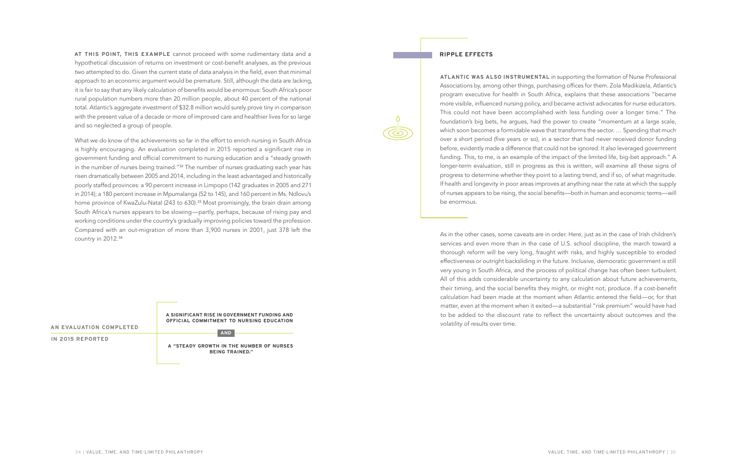#### **RIPPLE EFFECTS**

 $\circ$ 

**ATLANTIC WAS ALSO INSTRUMENTAL** in supporting the formation of Nurse Professional Associations by, among other things, purchasing offices for them. Zola Madikizela, Atlantic's program executive for health in South Africa, explains that these associations "became more visible, influenced nursing policy, and became activist advocates for nurse educators. This could not have been accomplished with less funding over a longer time." The foundation's big bets, he argues, had the power to create "momentum at a large scale, which soon becomes a formidable wave that transforms the sector. ... Spending that much over a short period (five years or so), in a sector that had never received donor funding before, evidently made a difference that could not be ignored. It also leveraged government funding. This, to me, is an example of the impact of the limited life, big-bet approach." A longer-term evaluation, still in progress as this is written, will examine all these signs of progress to determine whether they point to a lasting trend, and if so, of what magnitude. If health and longevity in poor areas improves at anything near the rate at which the supply of nurses appears to be rising, the social benefits—both in human and economic terms—will be enormous.

As in the other cases, some caveats are in order. Here, just as in the case of Irish children's services and even more than in the case of U.S. school discipline, the march toward a thorough reform will be very long, fraught with risks, and highly susceptible to eroded effectiveness or outright backsliding in the future. Inclusive, democratic government is still very young in South Africa, and the process of political change has often been turbulent. All of this adds considerable uncertainty to any calculation about future achievements, their timing, and the social benefits they might, or might not, produce. If a cost-benefit calculation had been made at the moment when Atlantic entered the field—or, for that matter, even at the moment when it exited—a substantial "risk premium" would have had to be added to the discount rate to reflect the uncertainty about outcomes and the volatility of results over time.

**AT THIS POINT, THIS EXAMPLE** cannot proceed with some rudimentary data and a hypothetical discussion of returns on investment or cost-benefit analyses, as the previous two attempted to do. Given the current state of data analysis in the field, even that minimal approach to an economic argument would be premature. Still, although the data are lacking, it is fair to say that any likely calculation of benefits would be enormous: South Africa's poor rural population numbers more than 20 million people, about 40 percent of the national total. Atlantic's aggregate investment of \$32.8 million would surely prove tiny in comparison with the present value of a decade or more of improved care and healthier lives for so large and so neglected a group of people.

What we do know of the achievements so far in the effort to enrich nursing in South Africa is highly encouraging. An evaluation completed in 2015 reported a significant rise in government funding and official commitment to nursing education and a "steady growth in the number of nurses being trained."<sup>32</sup> The number of nurses graduating each year has risen dramatically between 2005 and 2014, including in the least advantaged and historically poorly staffed provinces: a 90 percent increase in Limpopo (142 graduates in 2005 and 271 in 2014); a 180 percent increase in Mpumalanga (52 to 145), and 160 percent in Ms. Ndlovu's home province of KwaZulu-Natal (243 to 630).<sup>33</sup> Most promisingly, the brain drain among South Africa's nurses appears to be slowing—partly, perhaps, because of rising pay and working conditions under the country's gradually improving policies toward the profession. Compared with an out-migration of more than 3,900 nurses in 2001, just 378 left the country in 2012.<sup>34</sup>

| AN EVALUATION COMPLETED | A SIGNIFICANT RISE IN GOVERNMENT FUNDING AND<br>OFFICIAL COMMITMENT TO NURSING EDUCATION<br><b>AND</b><br>A "STEADY GROWTH IN THE NUMBER OF NURSES<br><b>BEING TRAINED."</b> |
|-------------------------|------------------------------------------------------------------------------------------------------------------------------------------------------------------------------|
| IN 2015 REPORTED        |                                                                                                                                                                              |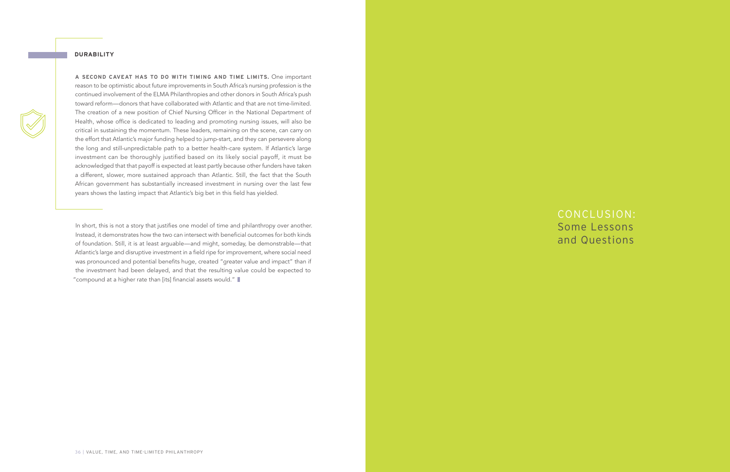CONCLUSION: Some Lessons and Questions

In short, this is not a story that justifies one model of time and philanthropy over another. Instead, it demonstrates how the two can intersect with beneficial outcomes for both kinds of foundation. Still, it is at least arguable—and might, someday, be demonstrable—that Atlantic's large and disruptive investment in a field ripe for improvement, where social need was pronounced and potential benefits huge, created "greater value and impact" than if the investment had been delayed, and that the resulting value could be expected to "compound at a higher rate than [its] financial assets would."

#### **DURABILITY**

**A SECOND CAVEAT HAS TO DO WITH TIMING AND TIME LIMITS.** One important reason to be optimistic about future improvements in South Africa's nursing profession is the continued involvement of the ELMA Philanthropies and other donors in South Africa's push toward reform—donors that have collaborated with Atlantic and that are not time-limited. The creation of a new position of Chief Nursing Officer in the National Department of Health, whose office is dedicated to leading and promoting nursing issues, will also be critical in sustaining the momentum. These leaders, remaining on the scene, can carry on the effort that Atlantic's major funding helped to jump-start, and they can persevere along the long and still-unpredictable path to a better health-care system. If Atlantic's large investment can be thoroughly justified based on its likely social payoff, it must be acknowledged that that payoff is expected at least partly because other funders have taken a different, slower, more sustained approach than Atlantic. Still, the fact that the South African government has substantially increased investment in nursing over the last few years shows the lasting impact that Atlantic's big bet in this field has yielded.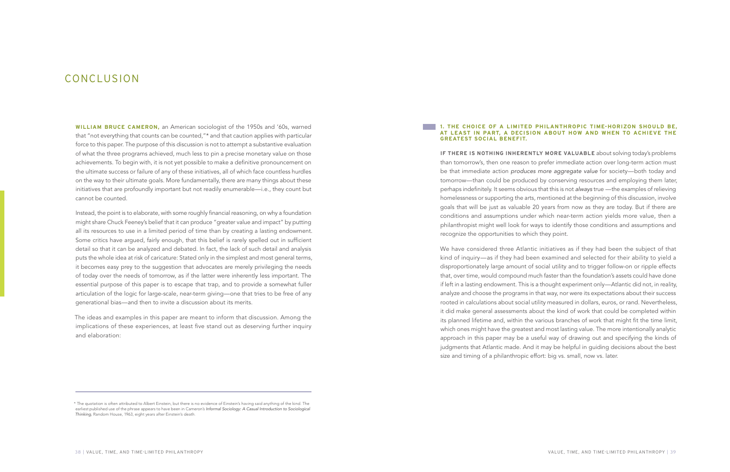#### **1. THE CHOICE OF A LIMITED PHILANTHROPIC TIME-HORIZON SHOULD BE, AT LEAST IN PART, A DECISION ABOUT HOW AND WHEN TO ACHIEVE THE**

## **GREATEST SOCIAL BENEFIT.**

**IF THERE IS NOTHING INHERENTLY MORE VALUABLE** about solving today's problems than tomorrow's, then one reason to prefer immediate action over long-term action must be that immediate action produces more aggregate value for society—both today and tomorrow—than could be produced by conserving resources and employing them later, perhaps indefinitely. It seems obvious that this is not always true - the examples of relieving homelessness or supporting the arts, mentioned at the beginning of this discussion, involve goals that will be just as valuable 20 years from now as they are today. But if there are conditions and assumptions under which near-term action yields more value, then a philanthropist might well look for ways to identify those conditions and assumptions and recognize the opportunities to which they point.

We have considered three Atlantic initiatives as if they had been the subject of that kind of inquiry—as if they had been examined and selected for their ability to yield a disproportionately large amount of social utility and to trigger follow-on or ripple effects that, over time, would compound much faster than the foundation's assets could have done if left in a lasting endowment. This is a thought experiment only—Atlantic did not, in reality, analyze and choose the programs in that way, nor were its expectations about their success rooted in calculations about social utility measured in dollars, euros, or rand. Nevertheless, it did make general assessments about the kind of work that could be completed within its planned lifetime and, within the various branches of work that might fit the time limit, which ones might have the greatest and most lasting value. The more intentionally analytic approach in this paper may be a useful way of drawing out and specifying the kinds of judgments that Atlantic made. And it may be helpful in guiding decisions about the best size and timing of a philanthropic effort: big vs. small, now vs. later.

**WILLIAM BRUCE CAMERON,** an American sociologist of the 1950s and '60s, warned that "not everything that counts can be counted,"\* and that caution applies with particular force to this paper. The purpose of this discussion is not to attempt a substantive evaluation of what the three programs achieved, much less to pin a precise monetary value on those achievements. To begin with, it is not yet possible to make a definitive pronouncement on the ultimate success or failure of any of these initiatives, all of which face countless hurdles on the way to their ultimate goals. More fundamentally, there are many things about these initiatives that are profoundly important but not readily enumerable—i.e., they count but cannot be counted.

Instead, the point is to elaborate, with some roughly financial reasoning, on why a foundation might share Chuck Feeney's belief that it can produce "greater value and impact" by putting all its resources to use in a limited period of time than by creating a lasting endowment. Some critics have argued, fairly enough, that this belief is rarely spelled out in sufficient detail so that it can be analyzed and debated. In fact, the lack of such detail and analysis puts the whole idea at risk of caricature: Stated only in the simplest and most general terms, it becomes easy prey to the suggestion that advocates are merely privileging the needs of today over the needs of tomorrow, as if the latter were inherently less important. The essential purpose of this paper is to escape that trap, and to provide a somewhat fuller articulation of the logic for large-scale, near-term giving—one that tries to be free of any generational bias—and then to invite a discussion about its merits.

The ideas and examples in this paper are meant to inform that discussion. Among the implications of these experiences, at least five stand out as deserving further inquiry and elaboration:

## CONCLUSION

<sup>\*</sup> The quotation is often attributed to Albert Einstein, but there is no evidence of Einstein's having said anything of the kind. The earliest published use of the phrase appears to have been in Cameron's Informal Sociology: A Casual Introduction to Sociological Thinking, Random House, 1963, eight years after Einstein's death.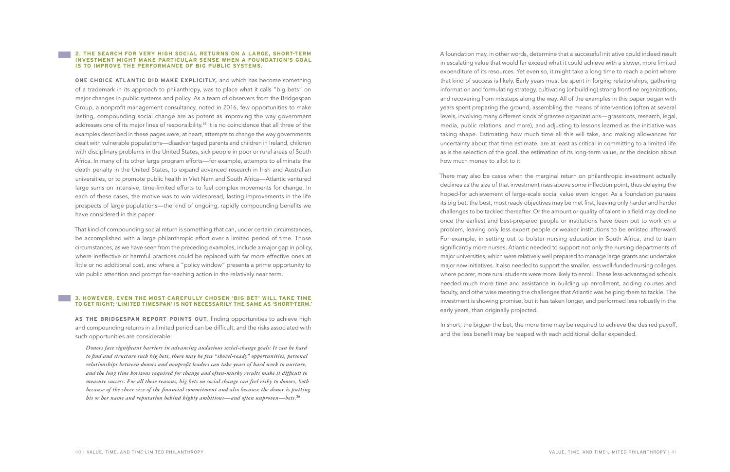#### **2. THE SEARCH FOR VERY HIGH SOCIAL RETURNS ON A LARGE, SHORT-TERM INVESTMENT MIGHT MAKE PARTICULAR SENSE WHEN A FOUNDATION'S GOAL IS TO IMPROVE THE PERFORMANCE OF BIG PUBLIC SYSTEMS.**

**ONE CHOICE ATLANTIC DID MAKE EXPLICITLY,** and which has become something of a trademark in its approach to philanthropy, was to place what it calls "big bets" on major changes in public systems and policy. As a team of observers from the Bridgespan Group, a nonprofit management consultancy, noted in 2016, few opportunities to make lasting, compounding social change are as potent as improving the way government addresses one of its major lines of responsibility.<sup>35</sup> It is no coincidence that all three of the examples described in these pages were, at heart, attempts to change the way governments dealt with vulnerable populations—disadvantaged parents and children in Ireland, children with disciplinary problems in the United States, sick people in poor or rural areas of South Africa. In many of its other large program efforts—for example, attempts to eliminate the death penalty in the United States, to expand advanced research in Irish and Australian universities, or to promote public health in Viet Nam and South Africa—Atlantic ventured large sums on intensive, time-limited efforts to fuel complex movements for change. In each of these cases, the motive was to win widespread, lasting improvements in the life prospects of large populations—the kind of ongoing, rapidly compounding benefits we have considered in this paper.

That kind of compounding social return is something that can, under certain circumstances, be accomplished with a large philanthropic effort over a limited period of time. Those circumstances, as we have seen from the preceding examples, include a major gap in policy, where ineffective or harmful practices could be replaced with far more effective ones at little or no additional cost, and where a "policy window" presents a prime opportunity to win public attention and prompt far-reaching action in the relatively near term.

#### **3. HOWEVER, EVEN THE MOST CAREFULLY CHOSEN 'BIG BET' WILL TAKE TIME TO GET RIGHT; 'LIMITED TIMESPAN' IS NOT NECESSARILY THE SAME AS 'SHORT-TERM.'**

**AS THE BRIDGESPAN REPORT POINTS OUT,** finding opportunities to achieve high and compounding returns in a limited period can be difficult, and the risks associated with such opportunities are considerable:

*Donors face significant barriers in advancing audacious social-change goals: It can be hard to find and structure such big bets, there may be few "shovel-ready" opportunities, personal relationships between donors and nonprofit leaders can take years of hard work to nurture, and the long time horizons required for change and often-murky results make it difficult to measure success. For all these reasons, big bets on social change can feel risky to donors, both because of the sheer size of the financial commitment and also because the donor is putting his or her name and reputation behind highly ambitious—and often unproven—bets.*<sup>36</sup>

A foundation may, in other words, determine that a successful initiative could indeed result in escalating value that would far exceed what it could achieve with a slower, more limited expenditure of its resources. Yet even so, it might take a long time to reach a point where that kind of success is likely. Early years must be spent in forging relationships, gathering information and formulating strategy, cultivating (or building) strong frontline organizations, and recovering from missteps along the way. All of the examples in this paper began with years spent preparing the ground, assembling the means of intervention (often at several levels, involving many different kinds of grantee organizations—grassroots, research, legal, media, public relations, and more), and adjusting to lessons learned as the initiative was taking shape. Estimating how much time all this will take, and making allowances for uncertainty about that time estimate, are at least as critical in committing to a limited life as is the selection of the goal, the estimation of its long-term value, or the decision about how much money to allot to it.

There may also be cases when the marginal return on philanthropic investment actually declines as the size of that investment rises above some inflection point, thus delaying the hoped-for achievement of large-scale social value even longer. As a foundation pursues its big bet, the best, most ready objectives may be met first, leaving only harder and harder challenges to be tackled thereafter. Or the amount or quality of talent in a field may decline once the earliest and best-prepared people or institutions have been put to work on a problem, leaving only less expert people or weaker institutions to be enlisted afterward. For example, in setting out to bolster nursing education in South Africa, and to train significantly more nurses, Atlantic needed to support not only the nursing departments of major universities, which were relatively well prepared to manage large grants and undertake major new initiatives. It also needed to support the smaller, less well-funded nursing colleges where poorer, more rural students were more likely to enroll. These less-advantaged schools needed much more time and assistance in building up enrollment, adding courses and faculty, and otherwise meeting the challenges that Atlantic was helping them to tackle. The investment is showing promise, but it has taken longer, and performed less robustly in the early years, than originally projected.

In short, the bigger the bet, the more time may be required to achieve the desired payoff, and the less benefit may be reaped with each additional dollar expended.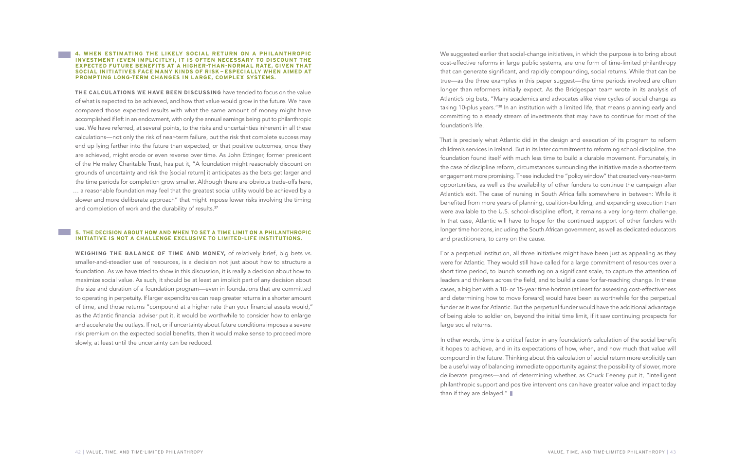We suggested earlier that social-change initiatives, in which the purpose is to bring about cost-effective reforms in large public systems, are one form of time-limited philanthropy that can generate significant, and rapidly compounding, social returns. While that can be true—as the three examples in this paper suggest—the time periods involved are often longer than reformers initially expect. As the Bridgespan team wrote in its analysis of Atlantic's big bets, "Many academics and advocates alike view cycles of social change as taking 10-plus years."<sup>38</sup> In an institution with a limited life, that means planning early and committing to a steady stream of investments that may have to continue for most of the foundation's life.

In other words, time is a critical factor in any foundation's calculation of the social benefit it hopes to achieve, and in its expectations of how, when, and how much that value will compound in the future. Thinking about this calculation of social return more explicitly can be a useful way of balancing immediate opportunity against the possibility of slower, more deliberate progress—and of determining whether, as Chuck Feeney put it, "intelligent philanthropic support and positive interventions can have greater value and impact today than if they are delayed."  $\blacksquare$ 

That is precisely what Atlantic did in the design and execution of its program to reform children's services in Ireland. But in its later commitment to reforming school discipline, the foundation found itself with much less time to build a durable movement. Fortunately, in the case of discipline reform, circumstances surrounding the initiative made a shorter-term engagement more promising. These included the "policy window" that created very-near-term opportunities, as well as the availability of other funders to continue the campaign after Atlantic's exit. The case of nursing in South Africa falls somewhere in between: While it benefited from more years of planning, coalition-building, and expanding execution than were available to the U.S. school-discipline effort, it remains a very long-term challenge. In that case, Atlantic will have to hope for the continued support of other funders with longer time horizons, including the South African government, as well as dedicated educators and practitioners, to carry on the cause.

For a perpetual institution, all three initiatives might have been just as appealing as they were for Atlantic. They would still have called for a large commitment of resources over a short time period, to launch something on a significant scale, to capture the attention of leaders and thinkers across the field, and to build a case for far-reaching change. In these cases, a big bet with a 10- or 15-year time horizon (at least for assessing cost-effectiveness and determining how to move forward) would have been as worthwhile for the perpetual funder as it was for Atlantic. But the perpetual funder would have the additional advantage of being able to soldier on, beyond the initial time limit, if it saw continuing prospects for large social returns.

**4. WHEN ESTIMATING THE LIKELY SOCIAL RETURN ON A PHILANTHROPIC INVESTMENT (EVEN IMPLICITLY), IT IS OFTEN NECESSARY TO DISCOUNT THE EXPECTED FUTURE BENEFITS AT A HIGHER-THAN-NORMAL RATE, GIVEN THAT SOCIAL INITIATIVES FACE MANY KINDS OF RISK — ESPECIALLY WHEN AIMED AT PROMPTING LONG-TERM CHANGES IN LARGE, COMPLEX SYSTEMS.** 

**THE CALCULATIONS WE HAVE BEEN DISCUSSING** have tended to focus on the value of what is expected to be achieved, and how that value would grow in the future. We have compared those expected results with what the same amount of money might have accomplished if left in an endowment, with only the annual earnings being put to philanthropic use. We have referred, at several points, to the risks and uncertainties inherent in all these calculations—not only the risk of near-term failure, but the risk that complete success may end up lying farther into the future than expected, or that positive outcomes, once they are achieved, might erode or even reverse over time. As John Ettinger, former president of the Helmsley Charitable Trust, has put it, "A foundation might reasonably discount on grounds of uncertainty and risk the [social return] it anticipates as the bets get larger and the time periods for completion grow smaller. Although there are obvious trade-offs here, … a reasonable foundation may feel that the greatest social utility would be achieved by a slower and more deliberate approach" that might impose lower risks involving the timing and completion of work and the durability of results.<sup>37</sup>

#### **5. THE DECISION ABOUT HOW AND WHEN TO SET A TIME LIMIT ON A PHILANTHROPIC INITIATIVE IS NOT A CHALLENGE EXCLUSIVE TO LIMITED-LIFE INSTITUTIONS.**

**WEIGHING THE BALANCE OF TIME AND MONEY,** of relatively brief, big bets vs. smaller-and-steadier use of resources, is a decision not just about how to structure a foundation. As we have tried to show in this discussion, it is really a decision about how to maximize social value. As such, it should be at least an implicit part of any decision about the size and duration of a foundation program—even in foundations that are committed to operating in perpetuity. If larger expenditures can reap greater returns in a shorter amount of time, and those returns "compound at a higher rate than your financial assets would," as the Atlantic financial adviser put it, it would be worthwhile to consider how to enlarge and accelerate the outlays. If not, or if uncertainty about future conditions imposes a severe risk premium on the expected social benefits, then it would make sense to proceed more slowly, at least until the uncertainty can be reduced.